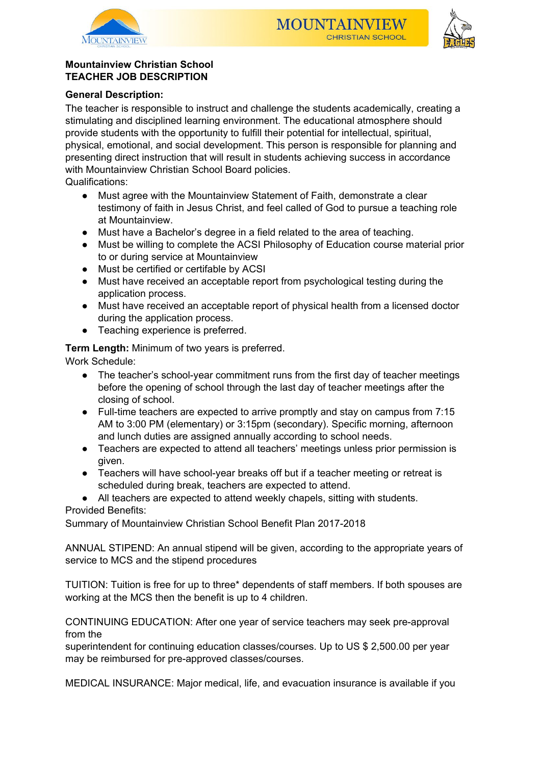





# **Mountainview Christian School TEACHER JOB DESCRIPTION**

# **General Description:**

The teacher is responsible to instruct and challenge the students academically, creating a stimulating and disciplined learning environment. The educational atmosphere should provide students with the opportunity to fulfill their potential for intellectual, spiritual, physical, emotional, and social development. This person is responsible for planning and presenting direct instruction that will result in students achieving success in accordance with Mountainview Christian School Board policies.

Qualifications:

- Must agree with the Mountainview Statement of Faith, demonstrate a clear testimony of faith in Jesus Christ, and feel called of God to pursue a teaching role at Mountainview.
- Must have a Bachelor's degree in a field related to the area of teaching.
- Must be willing to complete the ACSI Philosophy of Education course material prior to or during service at Mountainview
- Must be certified or certifable by ACSI
- Must have received an acceptable report from psychological testing during the application process.
- Must have received an acceptable report of physical health from a licensed doctor during the application process.
- Teaching experience is preferred.

**Term Length:** Minimum of two years is preferred.

Work Schedule:

- The teacher's school-year commitment runs from the first day of teacher meetings before the opening of school through the last day of teacher meetings after the closing of school.
- Full-time teachers are expected to arrive promptly and stay on campus from 7:15 AM to 3:00 PM (elementary) or 3:15pm (secondary). Specific morning, afternoon and lunch duties are assigned annually according to school needs.
- Teachers are expected to attend all teachers' meetings unless prior permission is given.
- Teachers will have school-year breaks off but if a teacher meeting or retreat is scheduled during break, teachers are expected to attend.

● All teachers are expected to attend weekly chapels, sitting with students. Provided Benefits:

Summary of Mountainview Christian School Benefit Plan 2017-2018

ANNUAL STIPEND: An annual stipend will be given, according to the appropriate years of service to MCS and the stipend procedures

TUITION: Tuition is free for up to three\* dependents of staff members. If both spouses are working at the MCS then the benefit is up to 4 children.

CONTINUING EDUCATION: After one year of service teachers may seek pre-approval from the

superintendent for continuing education classes/courses. Up to US \$ 2,500.00 per year may be reimbursed for pre-approved classes/courses.

MEDICAL INSURANCE: Major medical, life, and evacuation insurance is available if you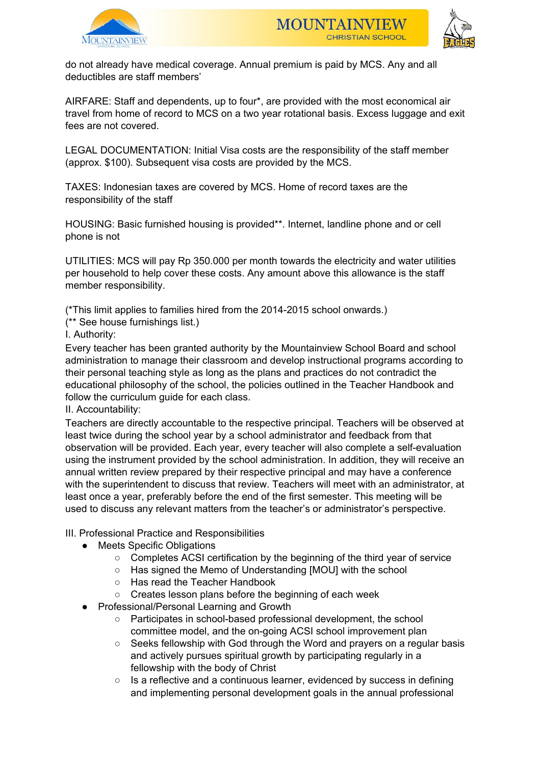





do not already have medical coverage. Annual premium is paid by MCS. Any and all deductibles are staff members'

AIRFARE: Staff and dependents, up to four\*, are provided with the most economical air travel from home of record to MCS on a two year rotational basis. Excess luggage and exit fees are not covered.

LEGAL DOCUMENTATION: Initial Visa costs are the responsibility of the staff member (approx. \$100). Subsequent visa costs are provided by the MCS.

TAXES: Indonesian taxes are covered by MCS. Home of record taxes are the responsibility of the staff

HOUSING: Basic furnished housing is provided\*\*. Internet, landline phone and or cell phone is not

UTILITIES: MCS will pay Rp 350.000 per month towards the electricity and water utilities per household to help cover these costs. Any amount above this allowance is the staff member responsibility.

(\*This limit applies to families hired from the 2014-2015 school onwards.)

(\*\* See house furnishings list.)

I. Authority:

Every teacher has been granted authority by the Mountainview School Board and school administration to manage their classroom and develop instructional programs according to their personal teaching style as long as the plans and practices do not contradict the educational philosophy of the school, the policies outlined in the Teacher Handbook and follow the curriculum guide for each class.

II. Accountability:

Teachers are directly accountable to the respective principal. Teachers will be observed at least twice during the school year by a school administrator and feedback from that observation will be provided. Each year, every teacher will also complete a self-evaluation using the instrument provided by the school administration. In addition, they will receive an annual written review prepared by their respective principal and may have a conference with the superintendent to discuss that review. Teachers will meet with an administrator, at least once a year, preferably before the end of the first semester. This meeting will be used to discuss any relevant matters from the teacher's or administrator's perspective.

III. Professional Practice and Responsibilities

- Meets Specific Obligations
	- Completes ACSI certification by the beginning of the third year of service
	- Has signed the Memo of Understanding [MOU] with the school
	- Has read the Teacher Handbook
	- Creates lesson plans before the beginning of each week
- Professional/Personal Learning and Growth
	- Participates in school-based professional development, the school committee model, and the on-going ACSI school improvement plan
	- Seeks fellowship with God through the Word and prayers on a regular basis and actively pursues spiritual growth by participating regularly in a fellowship with the body of Christ
	- Is a reflective and a continuous learner, evidenced by success in defining and implementing personal development goals in the annual professional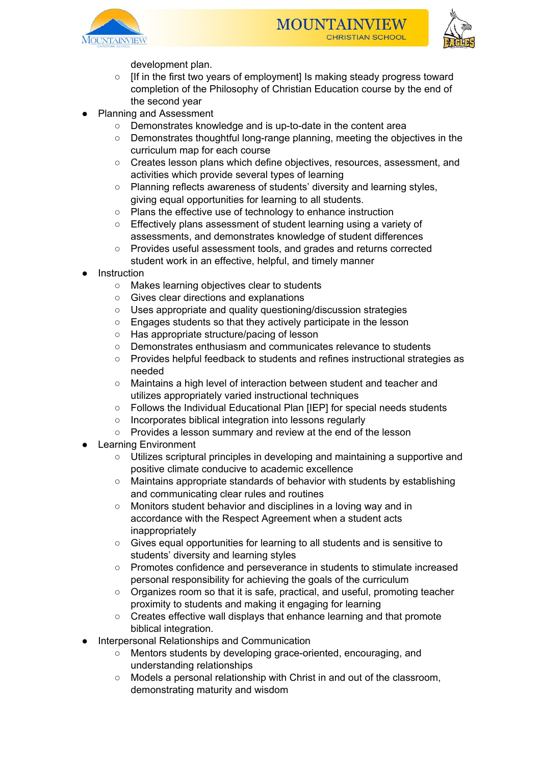





development plan.

- [If in the first two years of employment] Is making steady progress toward completion of the Philosophy of Christian Education course by the end of the second year
- Planning and Assessment
	- Demonstrates knowledge and is up-to-date in the content area
	- Demonstrates thoughtful long-range planning, meeting the objectives in the curriculum map for each course
	- Creates lesson plans which define objectives, resources, assessment, and activities which provide several types of learning
	- Planning reflects awareness of students' diversity and learning styles, giving equal opportunities for learning to all students.
	- Plans the effective use of technology to enhance instruction
	- Effectively plans assessment of student learning using a variety of assessments, and demonstrates knowledge of student differences
	- Provides useful assessment tools, and grades and returns corrected student work in an effective, helpful, and timely manner
- **Instruction** 
	- Makes learning objectives clear to students
	- Gives clear directions and explanations
	- Uses appropriate and quality questioning/discussion strategies
	- Engages students so that they actively participate in the lesson
	- Has appropriate structure/pacing of lesson
	- Demonstrates enthusiasm and communicates relevance to students
	- Provides helpful feedback to students and refines instructional strategies as needed
	- Maintains a high level of interaction between student and teacher and utilizes appropriately varied instructional techniques
	- Follows the Individual Educational Plan [IEP] for special needs students
	- Incorporates biblical integration into lessons regularly
	- Provides a lesson summary and review at the end of the lesson
- **Learning Environment** 
	- Utilizes scriptural principles in developing and maintaining a supportive and positive climate conducive to academic excellence
	- Maintains appropriate standards of behavior with students by establishing and communicating clear rules and routines
	- Monitors student behavior and disciplines in a loving way and in accordance with the Respect Agreement when a student acts inappropriately
	- Gives equal opportunities for learning to all students and is sensitive to students' diversity and learning styles
	- Promotes confidence and perseverance in students to stimulate increased personal responsibility for achieving the goals of the curriculum
	- Organizes room so that it is safe, practical, and useful, promoting teacher proximity to students and making it engaging for learning
	- Creates effective wall displays that enhance learning and that promote biblical integration.
- Interpersonal Relationships and Communication
	- Mentors students by developing grace-oriented, encouraging, and understanding relationships
	- Models a personal relationship with Christ in and out of the classroom, demonstrating maturity and wisdom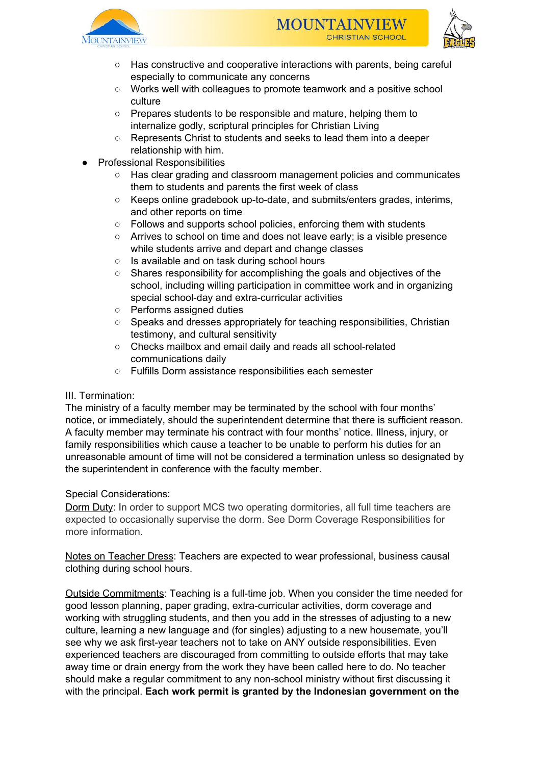





- Has constructive and cooperative interactions with parents, being careful especially to communicate any concerns
- Works well with colleagues to promote teamwork and a positive school culture
- Prepares students to be responsible and mature, helping them to internalize godly, scriptural principles for Christian Living
- Represents Christ to students and seeks to lead them into a deeper relationship with him.
- **Professional Responsibilities** 
	- Has clear grading and classroom management policies and communicates them to students and parents the first week of class
	- Keeps online gradebook up-to-date, and submits/enters grades, interims, and other reports on time
	- Follows and supports school policies, enforcing them with students
	- Arrives to school on time and does not leave early; is a visible presence while students arrive and depart and change classes
	- Is available and on task during school hours
	- Shares responsibility for accomplishing the goals and objectives of the school, including willing participation in committee work and in organizing special school-day and extra-curricular activities
	- Performs assigned duties
	- Speaks and dresses appropriately for teaching responsibilities, Christian testimony, and cultural sensitivity
	- Checks mailbox and email daily and reads all school-related communications daily
	- Fulfills Dorm assistance responsibilities each semester

# III. Termination:

The ministry of a faculty member may be terminated by the school with four months' notice, or immediately, should the superintendent determine that there is sufficient reason. A faculty member may terminate his contract with four months' notice. Illness, injury, or family responsibilities which cause a teacher to be unable to perform his duties for an unreasonable amount of time will not be considered a termination unless so designated by the superintendent in conference with the faculty member.

## Special Considerations:

Dorm Duty: In order to support MCS two operating dormitories, all full time teachers are expected to occasionally supervise the dorm. See Dorm Coverage Responsibilities for more information.

Notes on Teacher Dress: Teachers are expected to wear professional, business causal clothing during school hours.

Outside Commitments: Teaching is a full-time job. When you consider the time needed for good lesson planning, paper grading, extra-curricular activities, dorm coverage and working with struggling students, and then you add in the stresses of adjusting to a new culture, learning a new language and (for singles) adjusting to a new housemate, you'll see why we ask first-year teachers not to take on ANY outside responsibilities. Even experienced teachers are discouraged from committing to outside efforts that may take away time or drain energy from the work they have been called here to do. No teacher should make a regular commitment to any non-school ministry without first discussing it with the principal. **Each work permit is granted by the Indonesian government on the**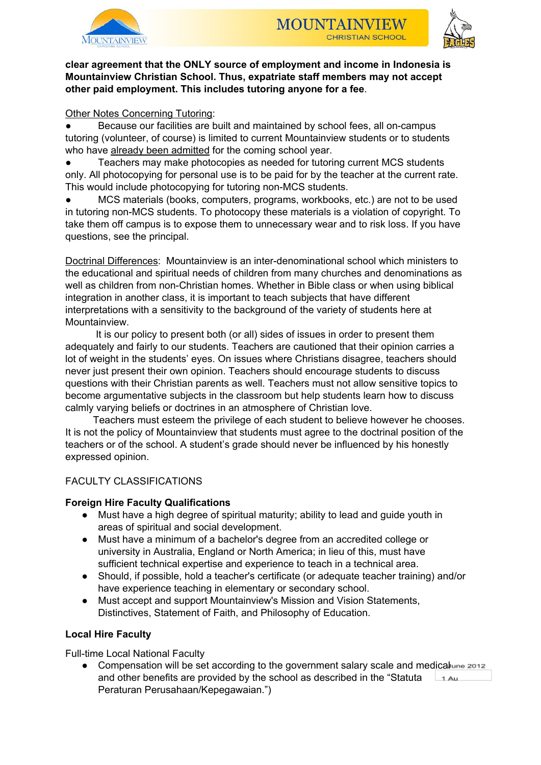



## **clear agreement that the ONLY source of employment and income in Indonesia is Mountainview Christian School. Thus, expatriate staff members may not accept other paid employment. This includes tutoring anyone for a fee**.

## Other Notes Concerning Tutoring:

● Because our facilities are built and maintained by school fees, all on-campus tutoring (volunteer, of course) is limited to current Mountainview students or to students who have already been admitted for the coming school year.

Teachers may make photocopies as needed for tutoring current MCS students only. All photocopying for personal use is to be paid for by the teacher at the current rate. This would include photocopying for tutoring non-MCS students.

MCS materials (books, computers, programs, workbooks, etc.) are not to be used in tutoring non-MCS students. To photocopy these materials is a violation of copyright. To take them off campus is to expose them to unnecessary wear and to risk loss. If you have questions, see the principal.

Doctrinal Differences: Mountainview is an inter-denominational school which ministers to the educational and spiritual needs of children from many churches and denominations as well as children from non-Christian homes. Whether in Bible class or when using biblical integration in another class, it is important to teach subjects that have different interpretations with a sensitivity to the background of the variety of students here at Mountainview.

It is our policy to present both (or all) sides of issues in order to present them adequately and fairly to our students. Teachers are cautioned that their opinion carries a lot of weight in the students' eyes. On issues where Christians disagree, teachers should never just present their own opinion. Teachers should encourage students to discuss questions with their Christian parents as well. Teachers must not allow sensitive topics to become argumentative subjects in the classroom but help students learn how to discuss calmly varying beliefs or doctrines in an atmosphere of Christian love.

Teachers must esteem the privilege of each student to believe however he chooses. It is not the policy of Mountainview that students must agree to the doctrinal position of the teachers or of the school. A student's grade should never be influenced by his honestly expressed opinion.

## FACULTY CLASSIFICATIONS

## **Foreign Hire Faculty Qualifications**

- Must have a high degree of spiritual maturity; ability to lead and guide youth in areas of spiritual and social development.
- Must have a minimum of a bachelor's degree from an accredited college or university in Australia, England or North America; in lieu of this, must have sufficient technical expertise and experience to teach in a technical area.
- Should, if possible, hold a teacher's certificate (or adequate teacher training) and/or have experience teaching in elementary or secondary school.
- Must accept and support Mountainview's Mission and Vision Statements, Distinctives, Statement of Faith, and Philosophy of Education.

## **Local Hire Faculty**

Full-time Local National Faculty

• Compensation will be set according to the government salary scale and medicalune 2012 and other benefits are provided by the school as described in the "Statuta  $1$  Au Peraturan Perusahaan/Kepegawaian.")